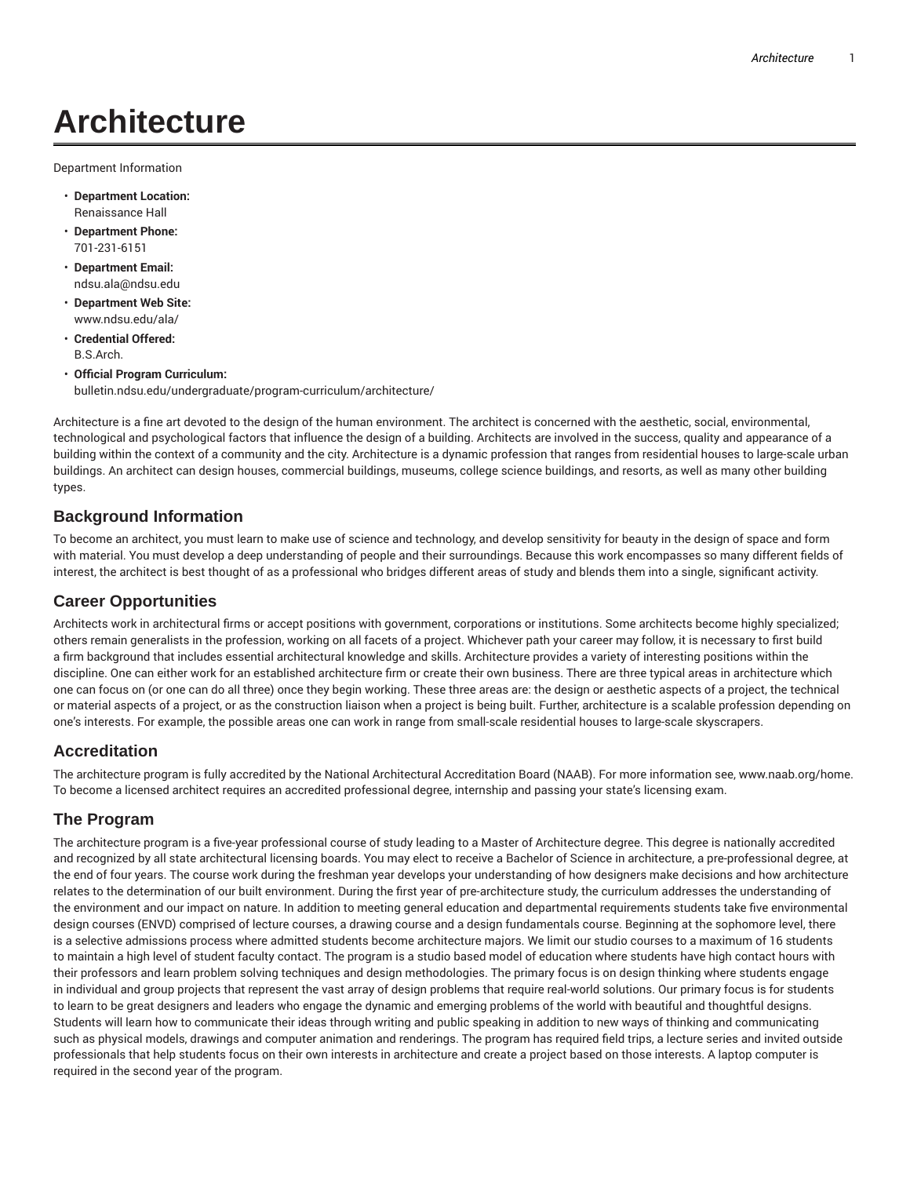# **Architecture**

Department Information

- **Department Location:** Renaissance Hall
- **Department Phone:** 701-231-6151
- **Department Email:** ndsu.ala@ndsu.edu
- **Department Web Site:** www.ndsu.edu/ala/
- **Credential Offered:** B.S.Arch.
- **Official Program Curriculum:** bulletin.ndsu.edu/undergraduate/program-curriculum/architecture/

Architecture is a fine art devoted to the design of the human environment. The architect is concerned with the aesthetic, social, environmental, technological and psychological factors that influence the design of a building. Architects are involved in the success, quality and appearance of a building within the context of a community and the city. Architecture is a dynamic profession that ranges from residential houses to large-scale urban buildings. An architect can design houses, commercial buildings, museums, college science buildings, and resorts, as well as many other building types.

### **Background Information**

To become an architect, you must learn to make use of science and technology, and develop sensitivity for beauty in the design of space and form with material. You must develop a deep understanding of people and their surroundings. Because this work encompasses so many different fields of interest, the architect is best thought of as a professional who bridges different areas of study and blends them into a single, significant activity.

## **Career Opportunities**

Architects work in architectural firms or accept positions with government, corporations or institutions. Some architects become highly specialized; others remain generalists in the profession, working on all facets of a project. Whichever path your career may follow, it is necessary to first build a firm background that includes essential architectural knowledge and skills. Architecture provides a variety of interesting positions within the discipline. One can either work for an established architecture firm or create their own business. There are three typical areas in architecture which one can focus on (or one can do all three) once they begin working. These three areas are: the design or aesthetic aspects of a project, the technical or material aspects of a project, or as the construction liaison when a project is being built. Further, architecture is a scalable profession depending on one's interests. For example, the possible areas one can work in range from small-scale residential houses to large-scale skyscrapers.

## **Accreditation**

The architecture program is fully accredited by the National Architectural Accreditation Board (NAAB). For more information see, www.naab.org/home. To become a licensed architect requires an accredited professional degree, internship and passing your state's licensing exam.

## **The Program**

The architecture program is a five-year professional course of study leading to a Master of Architecture degree. This degree is nationally accredited and recognized by all state architectural licensing boards. You may elect to receive a Bachelor of Science in architecture, a pre-professional degree, at the end of four years. The course work during the freshman year develops your understanding of how designers make decisions and how architecture relates to the determination of our built environment. During the first year of pre-architecture study, the curriculum addresses the understanding of the environment and our impact on nature. In addition to meeting general education and departmental requirements students take five environmental design courses (ENVD) comprised of lecture courses, a drawing course and a design fundamentals course. Beginning at the sophomore level, there is a selective admissions process where admitted students become architecture majors. We limit our studio courses to a maximum of 16 students to maintain a high level of student faculty contact. The program is a studio based model of education where students have high contact hours with their professors and learn problem solving techniques and design methodologies. The primary focus is on design thinking where students engage in individual and group projects that represent the vast array of design problems that require real-world solutions. Our primary focus is for students to learn to be great designers and leaders who engage the dynamic and emerging problems of the world with beautiful and thoughtful designs. Students will learn how to communicate their ideas through writing and public speaking in addition to new ways of thinking and communicating such as physical models, drawings and computer animation and renderings. The program has required field trips, a lecture series and invited outside professionals that help students focus on their own interests in architecture and create a project based on those interests. A laptop computer is required in the second year of the program.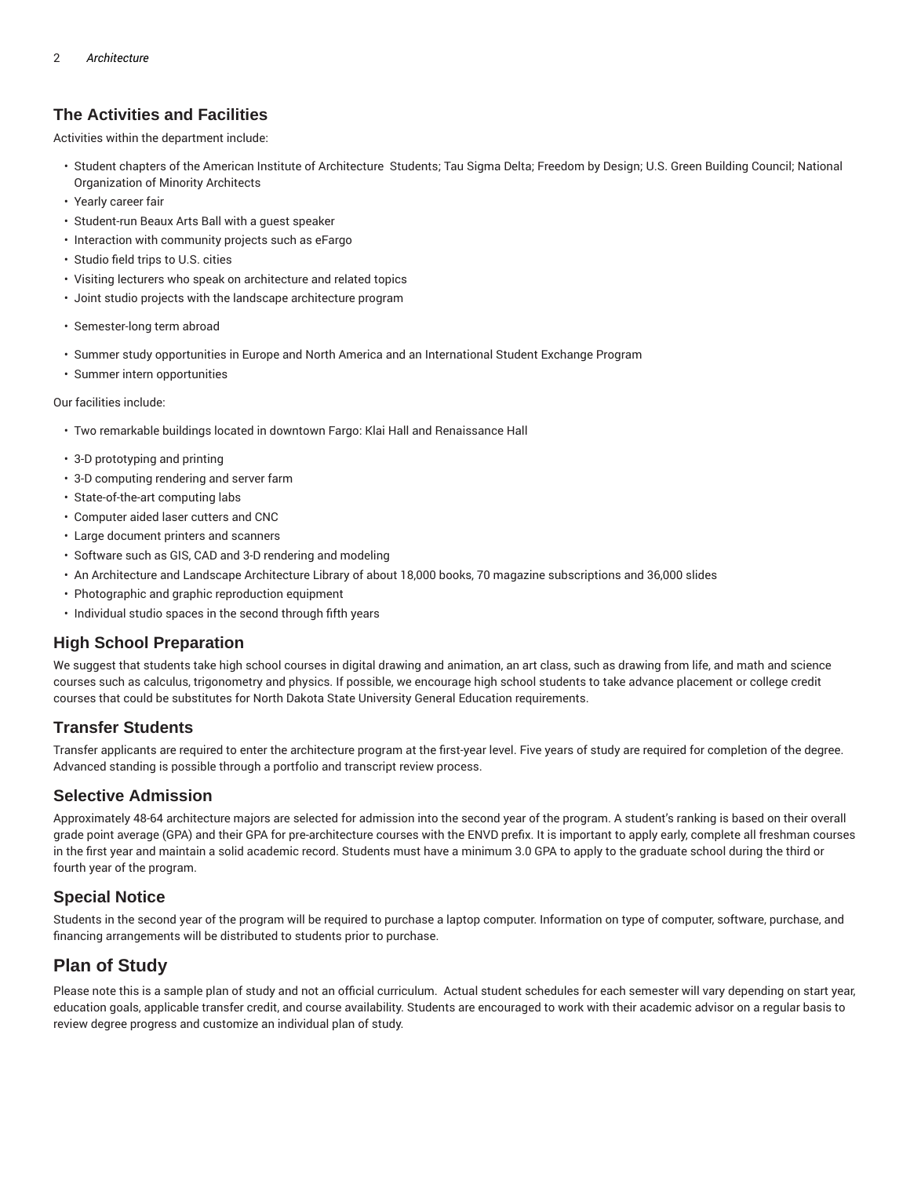### **The Activities and Facilities**

Activities within the department include:

- Student chapters of the American Institute of Architecture Students; Tau Sigma Delta; Freedom by Design; U.S. Green Building Council; National Organization of Minority Architects
- Yearly career fair
- Student-run Beaux Arts Ball with a guest speaker
- Interaction with community projects such as eFargo
- Studio field trips to U.S. cities
- Visiting lecturers who speak on architecture and related topics
- Joint studio projects with the landscape architecture program
- Semester-long term abroad
- Summer study opportunities in Europe and North America and an International Student Exchange Program
- Summer intern opportunities

Our facilities include:

- Two remarkable buildings located in downtown Fargo: Klai Hall and Renaissance Hall
- 3-D prototyping and printing
- 3-D computing rendering and server farm
- State-of-the-art computing labs
- Computer aided laser cutters and CNC
- Large document printers and scanners
- Software such as GIS, CAD and 3-D rendering and modeling
- An Architecture and Landscape Architecture Library of about 18,000 books, 70 magazine subscriptions and 36,000 slides
- Photographic and graphic reproduction equipment
- Individual studio spaces in the second through fifth years

#### **High School Preparation**

We suggest that students take high school courses in digital drawing and animation, an art class, such as drawing from life, and math and science courses such as calculus, trigonometry and physics. If possible, we encourage high school students to take advance placement or college credit courses that could be substitutes for North Dakota State University General Education requirements.

## **Transfer Students**

Transfer applicants are required to enter the architecture program at the first-year level. Five years of study are required for completion of the degree. Advanced standing is possible through a portfolio and transcript review process.

#### **Selective Admission**

Approximately 48-64 architecture majors are selected for admission into the second year of the program. A student's ranking is based on their overall grade point average (GPA) and their GPA for pre-architecture courses with the ENVD prefix. It is important to apply early, complete all freshman courses in the first year and maintain a solid academic record. Students must have a minimum 3.0 GPA to apply to the graduate school during the third or fourth year of the program.

#### **Special Notice**

Students in the second year of the program will be required to purchase a laptop computer. Information on type of computer, software, purchase, and financing arrangements will be distributed to students prior to purchase.

## **Plan of Study**

Please note this is a sample plan of study and not an official curriculum. Actual student schedules for each semester will vary depending on start year, education goals, applicable transfer credit, and course availability. Students are encouraged to work with their academic advisor on a regular basis to review degree progress and customize an individual plan of study.